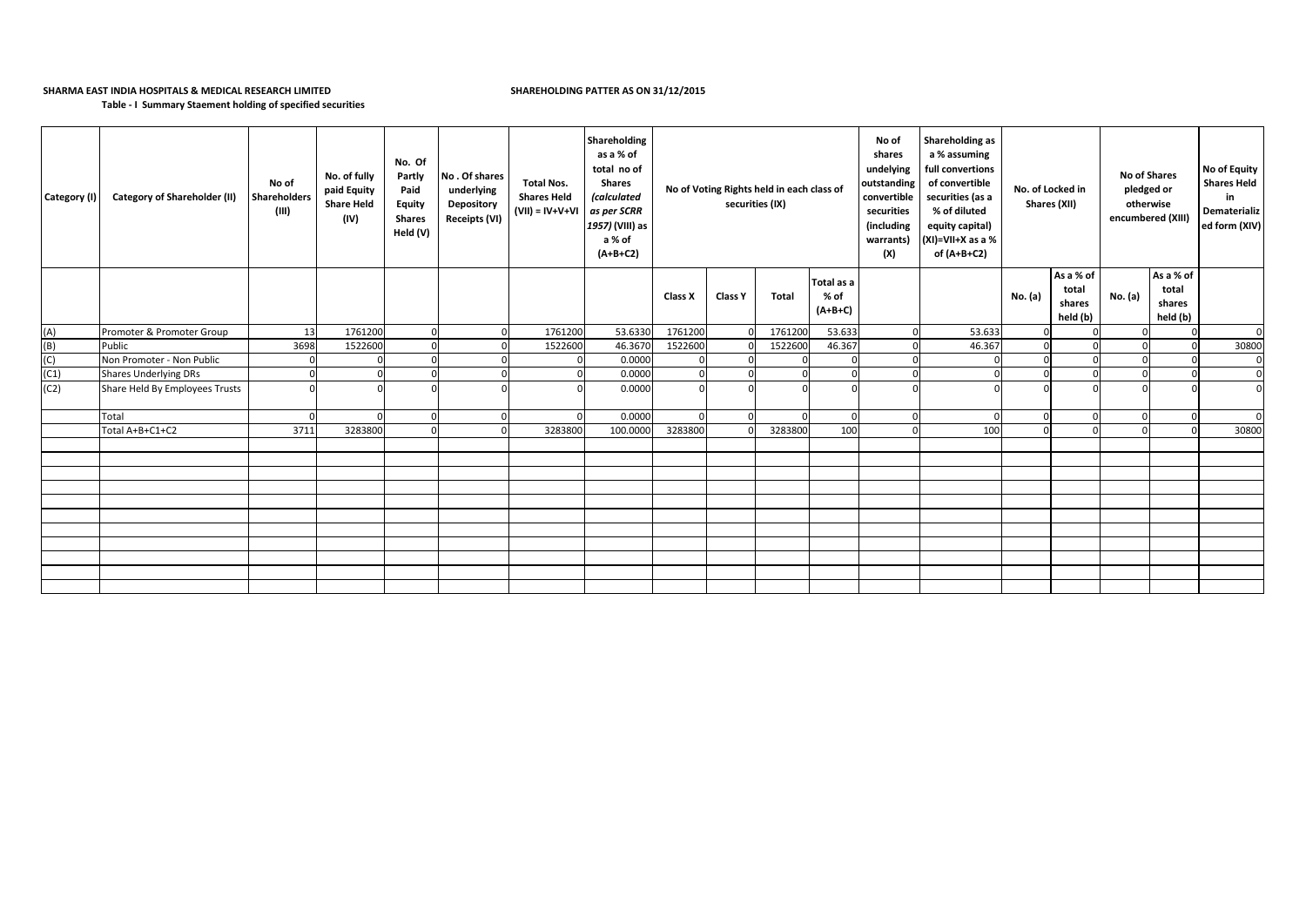## **SHARMA EAST INDIA HOSPITALS & MEDICAL RESEARCH LIMITED SHAREHOLDING PATTER AS ON 31/12/2015**

**Table - I Summary Staement holding of specified securities**

| Category (I) | <b>Category of Shareholder (II)</b> | No of<br><b>Shareholders</b><br>(III) | No. of fully<br>paid Equity<br><b>Share Held</b><br>(IV) | No. Of<br>Partly<br>Paid<br><b>Equity</b><br><b>Shares</b><br>Held (V) | No. Of shares<br>underlying<br>Depository<br>Receipts (VI) | <b>Total Nos.</b><br><b>Shares Held</b><br>$(VII) = IV + V + VI$ | Shareholding<br>as a % of<br>total no of<br><b>Shares</b><br><i>(calculated</i><br>as per SCRR<br>1957) (VIII) as<br>a % of<br>$(A+B+C2)$ | No of Voting Rights held in each class of<br>securities (IX) |                |         |                                 |        |         |                                          |          |                                          |             |  |  |  |  |  |  |  |  |  |  |  |  |  |  |  |  |  |  |  | Shareholding as<br>No of<br>a % assuming<br>shares<br>full convertions<br>undelying<br>outstanding<br>of convertible<br>convertible<br>securities (as a<br>securities<br>% of diluted<br>(including<br>equity capital)<br>$(XI)=VII+X$ as a %<br>warrants)<br>(X)<br>of (A+B+C2) |  |  | No. of Locked in<br>Shares (XII) | <b>No of Shares</b><br>pledged or<br>otherwise<br>encumbered (XIII) |  | No of Equity<br><b>Shares Held</b><br>in<br>Dematerializ<br>ed form (XIV) |
|--------------|-------------------------------------|---------------------------------------|----------------------------------------------------------|------------------------------------------------------------------------|------------------------------------------------------------|------------------------------------------------------------------|-------------------------------------------------------------------------------------------------------------------------------------------|--------------------------------------------------------------|----------------|---------|---------------------------------|--------|---------|------------------------------------------|----------|------------------------------------------|-------------|--|--|--|--|--|--|--|--|--|--|--|--|--|--|--|--|--|--|--|----------------------------------------------------------------------------------------------------------------------------------------------------------------------------------------------------------------------------------------------------------------------------------|--|--|----------------------------------|---------------------------------------------------------------------|--|---------------------------------------------------------------------------|
|              |                                     |                                       |                                                          |                                                                        |                                                            |                                                                  |                                                                                                                                           | Class X                                                      | <b>Class Y</b> | Total   | Total as a<br>% of<br>$(A+B+C)$ |        | No. (a) | As a % of<br>total<br>shares<br>held (b) | No. (a)  | As a % of<br>total<br>shares<br>held (b) |             |  |  |  |  |  |  |  |  |  |  |  |  |  |  |  |  |  |  |  |                                                                                                                                                                                                                                                                                  |  |  |                                  |                                                                     |  |                                                                           |
| (A)          | Promoter & Promoter Group           | 13                                    | 1761200                                                  | $\Omega$                                                               | $\mathbf 0$                                                | 1761200                                                          | 53.6330                                                                                                                                   | 1761200                                                      |                | 1761200 | 53.633                          | 53.633 |         |                                          |          | 0                                        | $\Omega$    |  |  |  |  |  |  |  |  |  |  |  |  |  |  |  |  |  |  |  |                                                                                                                                                                                                                                                                                  |  |  |                                  |                                                                     |  |                                                                           |
| (B)          | Public                              | 3698                                  | 1522600                                                  |                                                                        | $\Omega$                                                   | 1522600                                                          | 46.3670                                                                                                                                   | 1522600                                                      |                | 1522600 | 46.367                          | 46.367 |         |                                          |          | $\overline{0}$                           | 30800       |  |  |  |  |  |  |  |  |  |  |  |  |  |  |  |  |  |  |  |                                                                                                                                                                                                                                                                                  |  |  |                                  |                                                                     |  |                                                                           |
| (C)          | Non Promoter - Non Public           | $\Omega$                              |                                                          |                                                                        | $\Omega$                                                   |                                                                  | 0.0000                                                                                                                                    |                                                              |                |         |                                 |        |         |                                          |          | 0                                        | $\mathbf 0$ |  |  |  |  |  |  |  |  |  |  |  |  |  |  |  |  |  |  |  |                                                                                                                                                                                                                                                                                  |  |  |                                  |                                                                     |  |                                                                           |
| (C1)         | <b>Shares Underlying DRs</b>        | $\Omega$                              |                                                          |                                                                        | $\Omega$                                                   |                                                                  | 0.0000                                                                                                                                    |                                                              |                |         |                                 |        |         |                                          |          | $\Omega$                                 | $\Omega$    |  |  |  |  |  |  |  |  |  |  |  |  |  |  |  |  |  |  |  |                                                                                                                                                                                                                                                                                  |  |  |                                  |                                                                     |  |                                                                           |
| (C2)         | Share Held By Employees Trusts      | $\Omega$                              |                                                          |                                                                        | $\Omega$                                                   |                                                                  | 0.0000                                                                                                                                    |                                                              |                |         |                                 |        |         |                                          |          | $\Omega$                                 |             |  |  |  |  |  |  |  |  |  |  |  |  |  |  |  |  |  |  |  |                                                                                                                                                                                                                                                                                  |  |  |                                  |                                                                     |  |                                                                           |
|              | Total                               | - 0                                   |                                                          | $\Omega$                                                               | $\mathbf 0$                                                |                                                                  | 0.0000                                                                                                                                    |                                                              |                |         | $\Omega$                        |        |         | $\cap$                                   | $\Omega$ | $\Omega$                                 | $\Omega$    |  |  |  |  |  |  |  |  |  |  |  |  |  |  |  |  |  |  |  |                                                                                                                                                                                                                                                                                  |  |  |                                  |                                                                     |  |                                                                           |
|              | Total A+B+C1+C2                     | 3711                                  | 3283800                                                  | n                                                                      |                                                            | 3283800                                                          | 100.000                                                                                                                                   | 3283800                                                      |                | 3283800 | 100                             | 100    |         |                                          |          | $\Omega$                                 | 30800       |  |  |  |  |  |  |  |  |  |  |  |  |  |  |  |  |  |  |  |                                                                                                                                                                                                                                                                                  |  |  |                                  |                                                                     |  |                                                                           |
|              |                                     |                                       |                                                          |                                                                        |                                                            |                                                                  |                                                                                                                                           |                                                              |                |         |                                 |        |         |                                          |          |                                          |             |  |  |  |  |  |  |  |  |  |  |  |  |  |  |  |  |  |  |  |                                                                                                                                                                                                                                                                                  |  |  |                                  |                                                                     |  |                                                                           |
|              |                                     |                                       |                                                          |                                                                        |                                                            |                                                                  |                                                                                                                                           |                                                              |                |         |                                 |        |         |                                          |          |                                          |             |  |  |  |  |  |  |  |  |  |  |  |  |  |  |  |  |  |  |  |                                                                                                                                                                                                                                                                                  |  |  |                                  |                                                                     |  |                                                                           |
|              |                                     |                                       |                                                          |                                                                        |                                                            |                                                                  |                                                                                                                                           |                                                              |                |         |                                 |        |         |                                          |          |                                          |             |  |  |  |  |  |  |  |  |  |  |  |  |  |  |  |  |  |  |  |                                                                                                                                                                                                                                                                                  |  |  |                                  |                                                                     |  |                                                                           |
|              |                                     |                                       |                                                          |                                                                        |                                                            |                                                                  |                                                                                                                                           |                                                              |                |         |                                 |        |         |                                          |          |                                          |             |  |  |  |  |  |  |  |  |  |  |  |  |  |  |  |  |  |  |  |                                                                                                                                                                                                                                                                                  |  |  |                                  |                                                                     |  |                                                                           |
|              |                                     |                                       |                                                          |                                                                        |                                                            |                                                                  |                                                                                                                                           |                                                              |                |         |                                 |        |         |                                          |          |                                          |             |  |  |  |  |  |  |  |  |  |  |  |  |  |  |  |  |  |  |  |                                                                                                                                                                                                                                                                                  |  |  |                                  |                                                                     |  |                                                                           |
|              |                                     |                                       |                                                          |                                                                        |                                                            |                                                                  |                                                                                                                                           |                                                              |                |         |                                 |        |         |                                          |          |                                          |             |  |  |  |  |  |  |  |  |  |  |  |  |  |  |  |  |  |  |  |                                                                                                                                                                                                                                                                                  |  |  |                                  |                                                                     |  |                                                                           |
|              |                                     |                                       |                                                          |                                                                        |                                                            |                                                                  |                                                                                                                                           |                                                              |                |         |                                 |        |         |                                          |          |                                          |             |  |  |  |  |  |  |  |  |  |  |  |  |  |  |  |  |  |  |  |                                                                                                                                                                                                                                                                                  |  |  |                                  |                                                                     |  |                                                                           |
|              |                                     |                                       |                                                          |                                                                        |                                                            |                                                                  |                                                                                                                                           |                                                              |                |         |                                 |        |         |                                          |          |                                          |             |  |  |  |  |  |  |  |  |  |  |  |  |  |  |  |  |  |  |  |                                                                                                                                                                                                                                                                                  |  |  |                                  |                                                                     |  |                                                                           |
|              |                                     |                                       |                                                          |                                                                        |                                                            |                                                                  |                                                                                                                                           |                                                              |                |         |                                 |        |         |                                          |          |                                          |             |  |  |  |  |  |  |  |  |  |  |  |  |  |  |  |  |  |  |  |                                                                                                                                                                                                                                                                                  |  |  |                                  |                                                                     |  |                                                                           |
|              |                                     |                                       |                                                          |                                                                        |                                                            |                                                                  |                                                                                                                                           |                                                              |                |         |                                 |        |         |                                          |          |                                          |             |  |  |  |  |  |  |  |  |  |  |  |  |  |  |  |  |  |  |  |                                                                                                                                                                                                                                                                                  |  |  |                                  |                                                                     |  |                                                                           |
|              |                                     |                                       |                                                          |                                                                        |                                                            |                                                                  |                                                                                                                                           |                                                              |                |         |                                 |        |         |                                          |          |                                          |             |  |  |  |  |  |  |  |  |  |  |  |  |  |  |  |  |  |  |  |                                                                                                                                                                                                                                                                                  |  |  |                                  |                                                                     |  |                                                                           |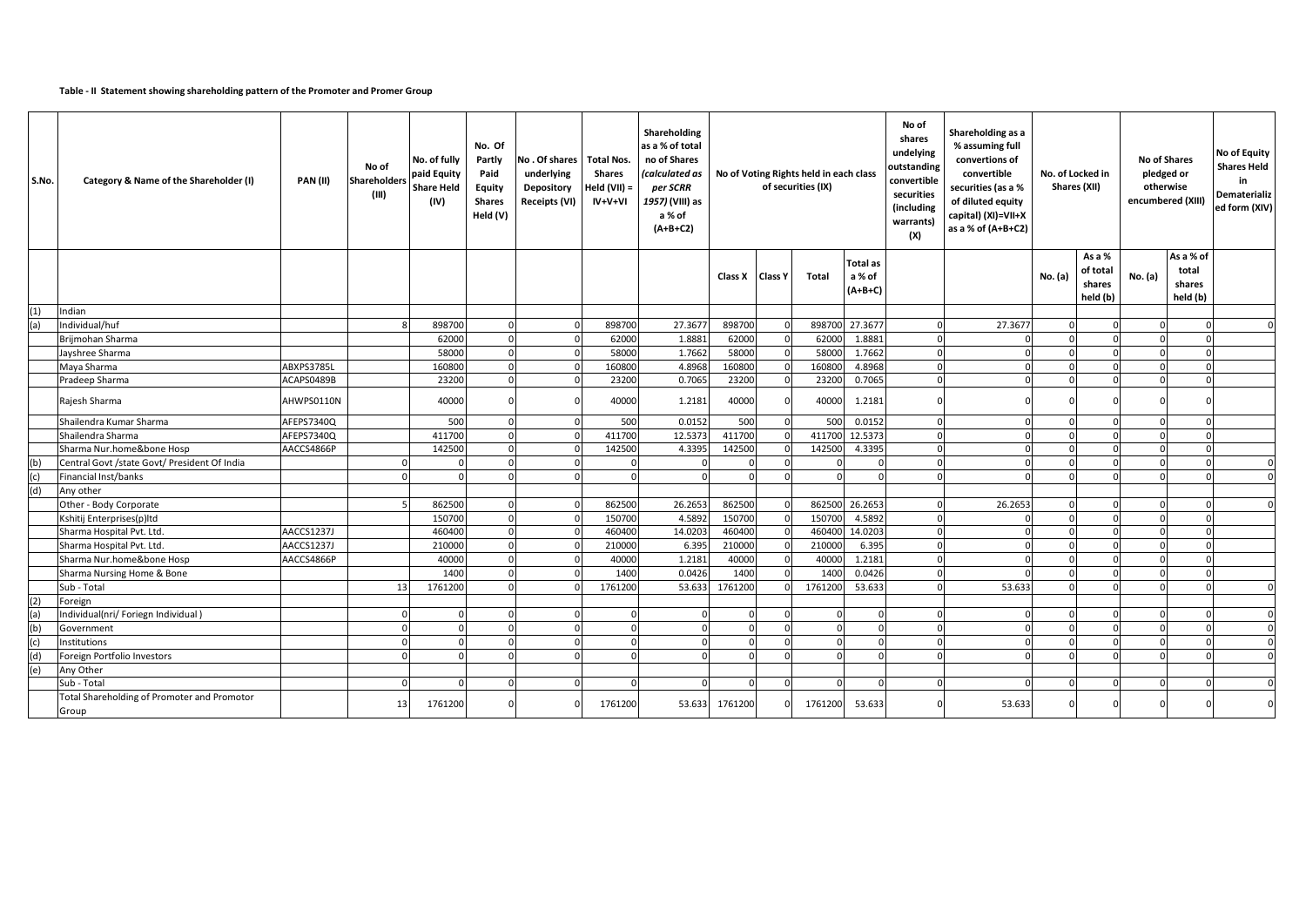## **Table - II Statement showing shareholding pattern of the Promoter and Promer Group**

| S.No. | Category & Name of the Shareholder (I)               | PAN(II)    | No of<br>Shareholders<br>(III) | No. of fully<br>paid Equity<br><b>Share Held</b><br>(IV) | No. Of<br>Partly<br>Paid<br>Equity<br><b>Shares</b><br>Held (V) | No. Of shares   Total Nos.<br>underlying<br>Depository<br>Receipts (VI) | <b>Shares</b><br>+eld (VII) =<br>IV+V+VI | Shareholding<br>as a % of total<br>no of Shares<br>(calculated as<br>per SCRR<br>1957) (VIII) as<br>a % of<br>$(A+B+C2)$ | No of Voting Rights held in each class<br>of securities (IX) |                |              | No of<br>shares<br>undelying<br>outstanding<br>convertible<br>securities<br>(including<br>warrants)<br>(X) |          |         |            |                                          |         |                                          |          |  |  |  |  |  |  | Shareholding as a<br>% assuming full<br>convertions of<br>convertible<br>securities (as a %<br>of diluted equity<br>capital) (XI)=VII+X<br>as a % of (A+B+C2) | No. of Locked in | Shares (XII) | No of Shares<br>pledged or<br>otherwise<br>encumbered (XIII) |  | No of Equity<br><b>Shares Held</b><br>in<br>Dematerializ<br>ed form (XIV) |
|-------|------------------------------------------------------|------------|--------------------------------|----------------------------------------------------------|-----------------------------------------------------------------|-------------------------------------------------------------------------|------------------------------------------|--------------------------------------------------------------------------------------------------------------------------|--------------------------------------------------------------|----------------|--------------|------------------------------------------------------------------------------------------------------------|----------|---------|------------|------------------------------------------|---------|------------------------------------------|----------|--|--|--|--|--|--|---------------------------------------------------------------------------------------------------------------------------------------------------------------|------------------|--------------|--------------------------------------------------------------|--|---------------------------------------------------------------------------|
|       |                                                      |            |                                |                                                          |                                                                 |                                                                         |                                          |                                                                                                                          | Class X                                                      | <b>Class Y</b> | <b>Total</b> | <b>Total as</b><br>a % of<br>$(A+B+C)$                                                                     |          |         | No. (a)    | As a %<br>of total<br>shares<br>held (b) | No. (a) | As a % of<br>total<br>shares<br>held (b) |          |  |  |  |  |  |  |                                                                                                                                                               |                  |              |                                                              |  |                                                                           |
| (1)   | Indian                                               |            |                                |                                                          |                                                                 |                                                                         |                                          |                                                                                                                          |                                                              |                |              |                                                                                                            |          |         |            |                                          |         |                                          |          |  |  |  |  |  |  |                                                                                                                                                               |                  |              |                                                              |  |                                                                           |
| (a)   | Individual/huf                                       |            |                                | 898700                                                   |                                                                 |                                                                         | 898700                                   | 27.3677                                                                                                                  | 898700                                                       |                | 898700       | 27.3677                                                                                                    | $\Omega$ | 27.3677 | $\Omega$   |                                          |         |                                          |          |  |  |  |  |  |  |                                                                                                                                                               |                  |              |                                                              |  |                                                                           |
|       | Brijmohan Sharma                                     |            |                                | 62000                                                    |                                                                 |                                                                         | 62000                                    | 1.8881                                                                                                                   | 62000                                                        |                | 62000        | 1.8881                                                                                                     | $\Omega$ |         |            |                                          |         |                                          |          |  |  |  |  |  |  |                                                                                                                                                               |                  |              |                                                              |  |                                                                           |
|       | Jayshree Sharma                                      |            |                                | 58000                                                    |                                                                 |                                                                         | 58000                                    | 1.7662                                                                                                                   | 58000                                                        |                | 58000        | 1.7662                                                                                                     | $\Omega$ |         | $\Omega$   |                                          |         | $\cap$                                   |          |  |  |  |  |  |  |                                                                                                                                                               |                  |              |                                                              |  |                                                                           |
|       | Maya Sharma                                          | ABXPS3785L |                                | 160800                                                   |                                                                 |                                                                         | 160800                                   | 4.8968                                                                                                                   | 160800                                                       |                | 160800       | 4.8968                                                                                                     | $\Omega$ |         | $\cap$     |                                          |         |                                          |          |  |  |  |  |  |  |                                                                                                                                                               |                  |              |                                                              |  |                                                                           |
|       | Pradeep Sharma                                       | ACAPS0489B |                                | 23200                                                    |                                                                 |                                                                         | 23200                                    | 0.7065                                                                                                                   | 23200                                                        |                | 23200        | 0.7065                                                                                                     | $\Omega$ |         |            |                                          |         |                                          |          |  |  |  |  |  |  |                                                                                                                                                               |                  |              |                                                              |  |                                                                           |
|       | Rajesh Sharma                                        | AHWPS0110N |                                | 40000                                                    |                                                                 |                                                                         | 40000                                    | 1.2181                                                                                                                   | 40000                                                        |                | 40000        | 1.2181                                                                                                     |          |         |            |                                          |         |                                          |          |  |  |  |  |  |  |                                                                                                                                                               |                  |              |                                                              |  |                                                                           |
|       | Shailendra Kumar Sharma                              | AFEPS7340Q |                                | 500                                                      |                                                                 |                                                                         | 500                                      | 0.0152                                                                                                                   | 500                                                          |                | 500          | 0.0152                                                                                                     | $\Omega$ |         |            | $\Omega$                                 |         |                                          |          |  |  |  |  |  |  |                                                                                                                                                               |                  |              |                                                              |  |                                                                           |
|       | Shailendra Sharma                                    | AFEPS7340Q |                                | 411700                                                   |                                                                 |                                                                         | 411700                                   | 12.5373                                                                                                                  | 411700                                                       |                | 411700       | 12.5373                                                                                                    | $\Omega$ |         | $\Omega$   |                                          |         |                                          |          |  |  |  |  |  |  |                                                                                                                                                               |                  |              |                                                              |  |                                                                           |
|       | Sharma Nur.home&bone Hosp                            | AACCS4866P |                                | 142500                                                   |                                                                 |                                                                         | 142500                                   | 4.3395                                                                                                                   | 142500                                                       |                | 142500       | 4.3395                                                                                                     | $\Omega$ |         |            |                                          |         |                                          |          |  |  |  |  |  |  |                                                                                                                                                               |                  |              |                                                              |  |                                                                           |
| (b)   | Central Govt /state Govt/ President Of India         |            |                                |                                                          |                                                                 |                                                                         | $\Omega$                                 | $\Omega$                                                                                                                 |                                                              |                |              |                                                                                                            | $\Omega$ |         | $\cap$     |                                          |         |                                          | $\Omega$ |  |  |  |  |  |  |                                                                                                                                                               |                  |              |                                                              |  |                                                                           |
| (c)   | Financial Inst/banks                                 |            |                                |                                                          |                                                                 |                                                                         |                                          | $\Omega$                                                                                                                 |                                                              |                |              |                                                                                                            |          |         |            |                                          |         |                                          | $\Omega$ |  |  |  |  |  |  |                                                                                                                                                               |                  |              |                                                              |  |                                                                           |
| (d)   | Any other                                            |            |                                |                                                          |                                                                 |                                                                         |                                          |                                                                                                                          |                                                              |                |              |                                                                                                            |          |         |            |                                          |         |                                          |          |  |  |  |  |  |  |                                                                                                                                                               |                  |              |                                                              |  |                                                                           |
|       | Other - Body Corporate                               |            | 5                              | 862500                                                   |                                                                 |                                                                         | 862500                                   | 26.2653                                                                                                                  | 862500                                                       |                | 862500       | 26.2653                                                                                                    | $\Omega$ | 26.2653 | $\Omega$   | $\Omega$                                 |         |                                          |          |  |  |  |  |  |  |                                                                                                                                                               |                  |              |                                                              |  |                                                                           |
|       | Kshitij Enterprises(p)ltd                            |            |                                | 150700                                                   |                                                                 |                                                                         | 150700                                   | 4.5892                                                                                                                   | 150700                                                       |                | 150700       | 4.5892                                                                                                     | $\Omega$ |         |            |                                          |         |                                          |          |  |  |  |  |  |  |                                                                                                                                                               |                  |              |                                                              |  |                                                                           |
|       | Sharma Hospital Pvt. Ltd                             | AACCS1237J |                                | 460400                                                   |                                                                 |                                                                         | 460400                                   | 14.0203                                                                                                                  | 460400                                                       |                | 460400       | 14.0203                                                                                                    | $\Omega$ |         | $\cap$     |                                          |         | $\Omega$                                 |          |  |  |  |  |  |  |                                                                                                                                                               |                  |              |                                                              |  |                                                                           |
|       | Sharma Hospital Pvt. Ltd.                            | AACCS1237J |                                | 210000                                                   |                                                                 |                                                                         | 210000                                   | 6.395                                                                                                                    | 210000                                                       |                | 210000       | 6.395                                                                                                      | $\Omega$ |         | $\Omega$   |                                          |         | $\cap$                                   |          |  |  |  |  |  |  |                                                                                                                                                               |                  |              |                                                              |  |                                                                           |
|       | Sharma Nur.home&bone Hosp                            | AACCS4866P |                                | 40000                                                    |                                                                 |                                                                         | 40000                                    | 1.2181                                                                                                                   | 40000                                                        |                | 40000        | 1.2181                                                                                                     | $\Omega$ |         |            |                                          |         |                                          |          |  |  |  |  |  |  |                                                                                                                                                               |                  |              |                                                              |  |                                                                           |
|       | Sharma Nursing Home & Bone                           |            |                                | 1400                                                     |                                                                 |                                                                         | 1400                                     | 0.0426                                                                                                                   | 1400                                                         |                | 1400         | 0.0426                                                                                                     | $\Omega$ |         | $\cap$     |                                          |         | $\Omega$                                 |          |  |  |  |  |  |  |                                                                                                                                                               |                  |              |                                                              |  |                                                                           |
|       | Sub - Total                                          |            | 13                             | 1761200                                                  |                                                                 |                                                                         | 1761200                                  | 53.633                                                                                                                   | 1761200                                                      |                | 1761200      | 53.633                                                                                                     |          | 53.633  | $\sqrt{2}$ | $\Omega$                                 |         |                                          |          |  |  |  |  |  |  |                                                                                                                                                               |                  |              |                                                              |  |                                                                           |
| (2)   | Foreign                                              |            |                                |                                                          |                                                                 |                                                                         |                                          |                                                                                                                          |                                                              |                |              |                                                                                                            |          |         |            |                                          |         |                                          |          |  |  |  |  |  |  |                                                                                                                                                               |                  |              |                                                              |  |                                                                           |
| (a)   | Individual(nri/ Foriegn Individual)                  |            | $\Omega$                       |                                                          |                                                                 |                                                                         | $\Omega$                                 | $\mathbf{0}$                                                                                                             |                                                              |                | $\Omega$     |                                                                                                            | $\Omega$ |         | $\Omega$   |                                          |         | $\Omega$                                 | $\Omega$ |  |  |  |  |  |  |                                                                                                                                                               |                  |              |                                                              |  |                                                                           |
| (b)   | Government                                           |            |                                |                                                          |                                                                 |                                                                         | $\Omega$                                 | $\Omega$                                                                                                                 |                                                              |                |              |                                                                                                            |          |         |            |                                          |         |                                          |          |  |  |  |  |  |  |                                                                                                                                                               |                  |              |                                                              |  |                                                                           |
| (c)   | Institutions                                         |            | $\Omega$                       | n                                                        |                                                                 |                                                                         | $\mathbf 0$                              | $\mathbf{0}$                                                                                                             |                                                              |                | $\Omega$     |                                                                                                            | $\Omega$ |         | n          |                                          |         |                                          | $\Omega$ |  |  |  |  |  |  |                                                                                                                                                               |                  |              |                                                              |  |                                                                           |
| (d)   | Foreign Portfolio Investors                          |            |                                |                                                          |                                                                 |                                                                         |                                          | $\Omega$                                                                                                                 |                                                              |                | $\Omega$     |                                                                                                            |          |         |            |                                          |         |                                          | $\Omega$ |  |  |  |  |  |  |                                                                                                                                                               |                  |              |                                                              |  |                                                                           |
| (e)   | Any Other                                            |            |                                |                                                          |                                                                 |                                                                         |                                          |                                                                                                                          |                                                              |                |              |                                                                                                            |          |         |            |                                          |         |                                          |          |  |  |  |  |  |  |                                                                                                                                                               |                  |              |                                                              |  |                                                                           |
|       | Sub - Total                                          |            | $\Omega$                       |                                                          |                                                                 |                                                                         |                                          | $\mathbf{0}$                                                                                                             |                                                              |                | - 0          |                                                                                                            | $\Omega$ |         |            |                                          |         |                                          | $\Omega$ |  |  |  |  |  |  |                                                                                                                                                               |                  |              |                                                              |  |                                                                           |
|       | Total Shareholding of Promoter and Promotor<br>Group |            | 13                             | 1761200                                                  |                                                                 |                                                                         | 1761200                                  | 53.633                                                                                                                   | 1761200                                                      |                | 1761200      | 53.633                                                                                                     | $\Omega$ | 53.633  |            |                                          |         |                                          |          |  |  |  |  |  |  |                                                                                                                                                               |                  |              |                                                              |  |                                                                           |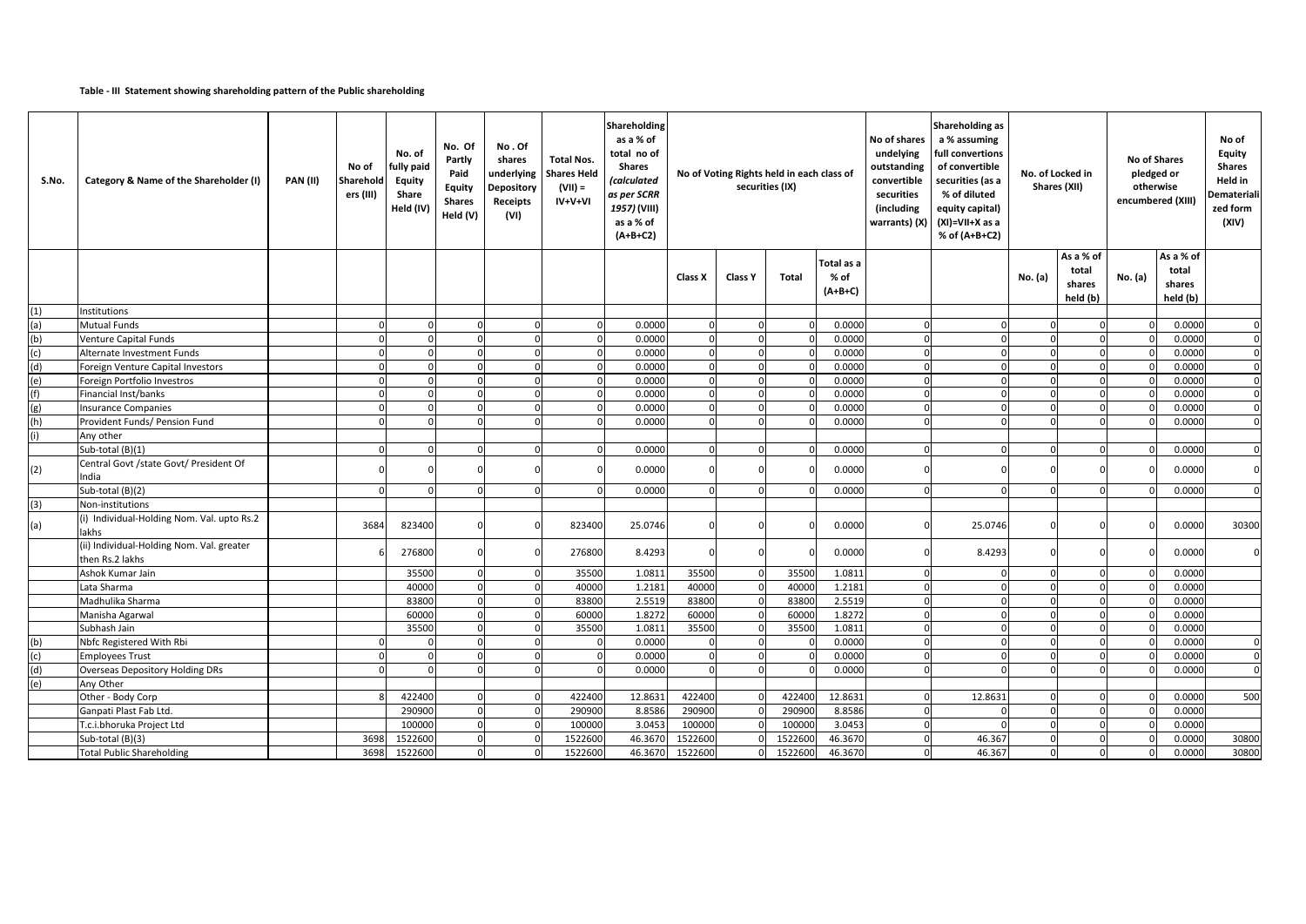## **Table - III Statement showing shareholding pattern of the Public shareholding**

| S.No. | Category & Name of the Shareholder (I)                       | <b>PAN (II)</b> | No of<br>Sharehold<br>ers (III) | No. of<br>fully paid<br>Equity<br>Share<br>Held (IV) | No. Of<br>Partly<br>Paid<br><b>Equity</b><br><b>Shares</b><br>Held (V) | No.Of<br>shares<br>underlying<br>Depository<br>Receipts<br>(VI) | <b>Total Nos.</b><br><b>Shares Held</b><br>$(VII) =$<br>$IV+V+VI$ | Shareholding<br>as a % of<br>total no of<br><b>Shares</b><br>(calculated<br>as per SCRR<br>1957) (VIII)<br>as a % of<br>$(A+B+C2)$ | No of Voting Rights held in each class of<br>securities (IX) |          |              | No of shares<br>undelying<br>outstanding<br>convertible<br>securities<br>(including<br>warrants) (X) | Shareholding as<br>a % assuming<br>full convertions<br>of convertible<br>securities (as a<br>% of diluted<br>equity capital)<br>(XI)=VII+X as a<br>% of (A+B+C2) |         | No. of Locked in<br>Shares (XII) |                                          |         |                                          |             |  | <b>No of Shares</b><br>pledged or<br>otherwise<br>encumbered (XIII) | No of<br>Equity<br><b>Shares</b><br>Held in<br><b>Demateriali</b><br>zed form<br>(XIV) |
|-------|--------------------------------------------------------------|-----------------|---------------------------------|------------------------------------------------------|------------------------------------------------------------------------|-----------------------------------------------------------------|-------------------------------------------------------------------|------------------------------------------------------------------------------------------------------------------------------------|--------------------------------------------------------------|----------|--------------|------------------------------------------------------------------------------------------------------|------------------------------------------------------------------------------------------------------------------------------------------------------------------|---------|----------------------------------|------------------------------------------|---------|------------------------------------------|-------------|--|---------------------------------------------------------------------|----------------------------------------------------------------------------------------|
|       |                                                              |                 |                                 |                                                      |                                                                        |                                                                 |                                                                   |                                                                                                                                    | Class X                                                      | Class Y  | <b>Total</b> | Total as a<br>% of<br>$(A+B+C)$                                                                      |                                                                                                                                                                  |         | No. (a)                          | As a % of<br>total<br>shares<br>held (b) | No. (a) | As a % of<br>total<br>shares<br>held (b) |             |  |                                                                     |                                                                                        |
| (1)   | Institutions                                                 |                 |                                 |                                                      |                                                                        |                                                                 |                                                                   |                                                                                                                                    |                                                              |          |              |                                                                                                      |                                                                                                                                                                  |         |                                  |                                          |         |                                          |             |  |                                                                     |                                                                                        |
| (a)   | <b>Mutual Funds</b>                                          |                 |                                 | $\Omega$                                             | $\Omega$                                                               | $\Omega$                                                        | $\Omega$                                                          | 0.0000                                                                                                                             | $\Omega$                                                     | $\Omega$ |              | 0.0000                                                                                               | $\Omega$                                                                                                                                                         |         |                                  | $\Omega$                                 |         | 0.0000                                   | $\Omega$    |  |                                                                     |                                                                                        |
| (b)   | <b>Venture Capital Funds</b>                                 |                 |                                 | $\Omega$                                             |                                                                        |                                                                 | $\Omega$                                                          | 0.0000                                                                                                                             | $\Omega$                                                     | $\Omega$ |              | 0.0000                                                                                               | $\Omega$                                                                                                                                                         |         | $\Omega$                         | $\Omega$                                 |         | 0.0000                                   | $\Omega$    |  |                                                                     |                                                                                        |
| (c)   | Alternate Investment Funds                                   |                 |                                 |                                                      |                                                                        |                                                                 |                                                                   | 0.0000                                                                                                                             |                                                              |          |              | 0.0000                                                                                               |                                                                                                                                                                  |         |                                  |                                          |         | 0.0000                                   | $\Omega$    |  |                                                                     |                                                                                        |
| (d)   | Foreign Venture Capital Investors                            |                 |                                 |                                                      |                                                                        | $\Omega$                                                        | $\Omega$                                                          | 0.0000                                                                                                                             | $\Omega$                                                     | $\Omega$ |              | 0.0000                                                                                               | $\mathbf 0$                                                                                                                                                      |         |                                  | $\Omega$                                 |         | 0.0000                                   | $\Omega$    |  |                                                                     |                                                                                        |
| (e)   | Foreign Portfolio Investros                                  |                 |                                 | $\Omega$                                             | $\Omega$                                                               | $\Omega$                                                        | $\mathbf{0}$                                                      | 0.0000                                                                                                                             | $\Omega$                                                     | $\Omega$ |              | 0.0000                                                                                               | $\Omega$                                                                                                                                                         |         |                                  | $\Omega$                                 |         | 0.0000                                   | $\mathbf 0$ |  |                                                                     |                                                                                        |
| (f)   | Financial Inst/banks                                         |                 |                                 |                                                      |                                                                        |                                                                 | $\Omega$                                                          | 0.0000                                                                                                                             |                                                              |          |              | 0.0000                                                                                               | $\Omega$                                                                                                                                                         |         |                                  |                                          |         | 0.000                                    | $\Omega$    |  |                                                                     |                                                                                        |
| (g)   | <b>Insurance Companies</b>                                   |                 |                                 |                                                      |                                                                        | $\Omega$                                                        | $\Omega$                                                          | 0.000C                                                                                                                             |                                                              |          |              | 0.0000                                                                                               | $\Omega$                                                                                                                                                         |         | $\Omega$                         | $\Omega$                                 |         | 0.0000                                   | $\Omega$    |  |                                                                     |                                                                                        |
| (h)   | Provident Funds/ Pension Fund                                |                 |                                 |                                                      |                                                                        |                                                                 | $\Omega$                                                          | 0.0000                                                                                                                             |                                                              |          |              | 0.0000                                                                                               |                                                                                                                                                                  |         |                                  |                                          |         | 0.000                                    | $\Omega$    |  |                                                                     |                                                                                        |
|       | Any other                                                    |                 |                                 |                                                      |                                                                        |                                                                 |                                                                   |                                                                                                                                    |                                                              |          |              |                                                                                                      |                                                                                                                                                                  |         |                                  |                                          |         |                                          |             |  |                                                                     |                                                                                        |
|       | Sub-total (B)(1)                                             |                 |                                 | $\Omega$                                             | $\Omega$                                                               | $\Omega$                                                        | $\Omega$                                                          | 0.0000                                                                                                                             | $\Omega$                                                     | $\Omega$ |              | 0.0000                                                                                               | $\Omega$                                                                                                                                                         |         |                                  | n                                        |         | 0.0000                                   |             |  |                                                                     |                                                                                        |
| (2)   | Central Govt /state Govt/ President Of<br>India              |                 |                                 |                                                      |                                                                        |                                                                 |                                                                   | 0.0000                                                                                                                             |                                                              |          |              | 0.0000                                                                                               |                                                                                                                                                                  |         |                                  |                                          |         | 0.0000                                   |             |  |                                                                     |                                                                                        |
|       | Sub-total (B)(2)                                             |                 |                                 |                                                      |                                                                        | $\Omega$                                                        | $\Omega$                                                          | 0.0000                                                                                                                             | $\Omega$                                                     |          |              | 0.0000                                                                                               | $\Omega$                                                                                                                                                         |         | $\Omega$                         |                                          |         | 0.0000                                   | $\Omega$    |  |                                                                     |                                                                                        |
| (3)   | Non-institutions                                             |                 |                                 |                                                      |                                                                        |                                                                 |                                                                   |                                                                                                                                    |                                                              |          |              |                                                                                                      |                                                                                                                                                                  |         |                                  |                                          |         |                                          |             |  |                                                                     |                                                                                        |
| (a)   | (i) Individual-Holding Nom. Val. upto Rs.2<br>lakhs          |                 | 3684                            | 823400                                               |                                                                        |                                                                 | 823400                                                            | 25.0746                                                                                                                            |                                                              |          |              | 0.0000                                                                                               |                                                                                                                                                                  | 25.0746 |                                  |                                          |         | 0.0000                                   | 30300       |  |                                                                     |                                                                                        |
|       | (ii) Individual-Holding Nom. Val. greater<br>then Rs.2 lakhs |                 |                                 | 276800                                               |                                                                        |                                                                 | 276800                                                            | 8.4293                                                                                                                             |                                                              |          |              | 0.0000                                                                                               |                                                                                                                                                                  | 8.4293  |                                  |                                          |         | 0.0000                                   |             |  |                                                                     |                                                                                        |
|       | Ashok Kumar Jain                                             |                 |                                 | 35500                                                |                                                                        |                                                                 | 35500                                                             | 1.0811                                                                                                                             | 35500                                                        |          | 35500        | 1.0811                                                                                               | $\Omega$                                                                                                                                                         |         |                                  |                                          |         | 0.0000                                   |             |  |                                                                     |                                                                                        |
|       | Lata Sharma                                                  |                 |                                 | 40000                                                |                                                                        |                                                                 | 40000                                                             | 1.2181                                                                                                                             | 40000                                                        |          | 40000        | 1.2181                                                                                               | $\Omega$                                                                                                                                                         |         |                                  |                                          |         | 0.0000                                   |             |  |                                                                     |                                                                                        |
|       | Madhulika Sharma                                             |                 |                                 | 83800                                                |                                                                        |                                                                 | 83800                                                             | 2.5519                                                                                                                             | 83800                                                        |          | 83800        | 2.5519                                                                                               | $\Omega$                                                                                                                                                         |         |                                  |                                          |         | 0.0000                                   |             |  |                                                                     |                                                                                        |
|       | Manisha Agarwal                                              |                 |                                 | 60000                                                | $\Omega$                                                               | $\Omega$                                                        | 60000                                                             | 1.8272                                                                                                                             | 60000                                                        | $\Omega$ | 60000        | 1.8272                                                                                               | $\Omega$                                                                                                                                                         |         |                                  | $\Omega$                                 |         | 0.0000                                   |             |  |                                                                     |                                                                                        |
|       | Subhash Jain                                                 |                 |                                 | 35500                                                |                                                                        | $\Omega$                                                        | 35500                                                             | 1.0811                                                                                                                             | 35500                                                        |          | 35500        | 1.081                                                                                                | $\Omega$                                                                                                                                                         |         |                                  |                                          |         | 0.000                                    |             |  |                                                                     |                                                                                        |
| (b)   | Nbfc Registered With Rbi                                     |                 |                                 |                                                      |                                                                        | $\Omega$                                                        | $\Omega$                                                          | 0.0000                                                                                                                             | $\Omega$                                                     |          |              | 0.0000                                                                                               | $\Omega$                                                                                                                                                         |         | $\Omega$                         | $\Omega$                                 |         | 0.0000                                   | $\Omega$    |  |                                                                     |                                                                                        |
| (c)   | <b>Employees Trust</b>                                       |                 |                                 |                                                      |                                                                        |                                                                 | $\Omega$                                                          | 0.0000                                                                                                                             |                                                              |          |              | 0.0000                                                                                               |                                                                                                                                                                  |         |                                  |                                          |         | 0.000                                    | $\Omega$    |  |                                                                     |                                                                                        |
| (d)   | <b>Overseas Depository Holding DRs</b>                       |                 |                                 |                                                      |                                                                        |                                                                 |                                                                   | 0.0000                                                                                                                             |                                                              |          |              | 0.0000                                                                                               |                                                                                                                                                                  |         |                                  |                                          |         | 0.0000                                   |             |  |                                                                     |                                                                                        |
| (e)   | Any Other                                                    |                 |                                 |                                                      |                                                                        |                                                                 |                                                                   |                                                                                                                                    |                                                              |          |              |                                                                                                      |                                                                                                                                                                  |         |                                  |                                          |         |                                          |             |  |                                                                     |                                                                                        |
|       | Other - Body Corp                                            |                 |                                 | 422400                                               |                                                                        | $\Omega$                                                        | 422400                                                            | 12.8631                                                                                                                            | 422400                                                       |          | 422400       | 12.8631                                                                                              | $\Omega$                                                                                                                                                         | 12.8631 | $\Omega$                         | $\Omega$                                 |         | 0.0000                                   | 500         |  |                                                                     |                                                                                        |
|       | Ganpati Plast Fab Ltd.                                       |                 |                                 | 290900                                               | $\Omega$                                                               | $\Omega$                                                        | 290900                                                            | 8.8586                                                                                                                             | 290900                                                       |          | 290900       | 8.8586                                                                                               | $\Omega$                                                                                                                                                         |         | $\Omega$                         | $\Omega$                                 |         | 0.0000                                   |             |  |                                                                     |                                                                                        |
|       | T.c.i.bhoruka Project Ltd                                    |                 |                                 | 100000                                               |                                                                        |                                                                 | 100000                                                            | 3.0453                                                                                                                             | 100000                                                       |          | 10000        | 3.0453                                                                                               | $\Omega$                                                                                                                                                         |         |                                  |                                          |         | 0.000                                    |             |  |                                                                     |                                                                                        |
|       | Sub-total (B)(3)                                             |                 | 3698                            | 1522600                                              |                                                                        |                                                                 | 1522600                                                           | 46.3670                                                                                                                            | 1522600                                                      |          | 1522600      | 46.3670                                                                                              |                                                                                                                                                                  | 46.367  |                                  |                                          |         | 0.000                                    | 30800       |  |                                                                     |                                                                                        |
|       | <b>Total Public Shareholding</b>                             |                 | 3698                            | 1522600                                              |                                                                        |                                                                 | 1522600                                                           | 46.3670                                                                                                                            | 1522600                                                      |          | 1522600      | 46.3670                                                                                              | $\Omega$                                                                                                                                                         | 46.367  |                                  |                                          |         | 0.0000                                   | 30800       |  |                                                                     |                                                                                        |